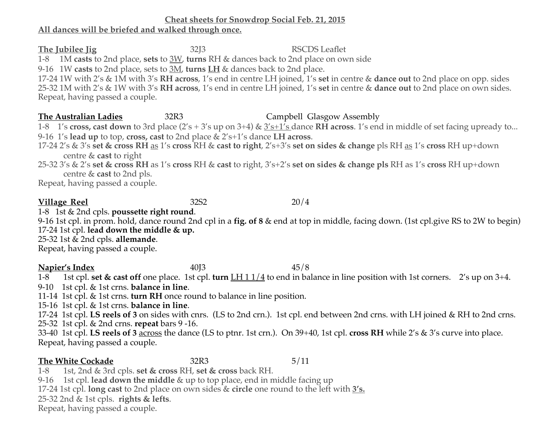### **Cheat sheets for Snowdrop Social Feb. 21, 2015**

### **All dances will be briefed and walked through once.**

**The Jubilee Jig** 32J3 RSCDS Leaflet 1-8 1M **casts** to 2nd place, **sets** to 3W, **turns** RH & dances back to 2nd place on own side 9-16 1W **casts** to 2nd place, sets to 3M, **turns LH** & dances back to 2nd place.

17-24 1W with 2's & 1M with 3's **RH across**, 1's end in centre LH joined, 1's **set** in centre & **dance out** to 2nd place on opp. sides 25-32 1M with 2's & 1W with 3's **RH across**, 1's end in centre LH joined, 1's **set** in centre & **dance out** to 2nd place on own sides. Repeat, having passed a couple.

# **The Australian Ladies** 32R3 Campbell Glasgow Assembly

1-8 1's **cross, cast down** to 3rd place (2's + 3's up on 3+4) & 3's+1's dance **RH across**. 1's end in middle of set facing upready to... 9-16 1's **lead up** to top, **cross, cast** to 2nd place & 2's+1's dance **LH across**.

17-24 2's & 3's **set & cross RH** as 1's **cross** RH & **cast to right**, 2's+3's **set on sides & change** pls RH as 1's **cross** RH up+down centre & **cast** to right

25-32 3's & 2's **set & cross RH** as 1's **cross** RH & **cast** to right, 3's+2's **set on sides & change pls** RH as 1's **cross** RH up+down centre & **cast** to 2nd pls.

Repeat, having passed a couple.

**Village Reel** 32S2 20/4

1-8 1st & 2nd cpls. **poussette right round**.

9-16 1st cpl. in prom. hold, dance round 2nd cpl in a **fig. of 8** & end at top in middle, facing down. (1st cpl.give RS to 2W to begin) 17-24 1st cpl. **lead down the middle & up.**

25-32 1st & 2nd cpls. **allemande**.

Repeat, having passed a couple.

**Napier's Index** 40J3 45/8

1-8 1st cpl. **set & cast off** one place. 1st cpl. **turn** LH 1 1/4 to end in balance in line position with 1st corners. 2's up on 3+4.

9-10 1st cpl. & 1st crns. **balance in line**.

11-14 1st cpl. & 1st crns. **turn RH** once round to balance in line position.

15-16 1st cpl. & 1st crns. **balance in line**.

17-24 1st cpl. **LS reels of 3** on sides with cnrs. (LS to 2nd crn.). 1st cpl. end between 2nd crns. with LH joined & RH to 2nd crns. 25-32 1st cpl. & 2nd crns. **repeat** bars 9 -16.

33-40 1st cpl. **LS reels of 3** across the dance (LS to ptnr. 1st crn.). On 39+40, 1st cpl. **cross RH** while 2's & 3's curve into place. Repeat, having passed a couple.

## **The White Cockade** 32R3 5/11

1-8 1st, 2nd & 3rd cpls. **set & cross** RH, **set & cross** back RH.

9-16 1st cpl. **lead down the middle** & up to top place, end in middle facing up

17-24 1st cpl. **long cast** to 2nd place on own sides & **circle** one round to the left with **3's.**

25-32 2nd & 1st cpls. **rights & lefts**.

Repeat, having passed a couple.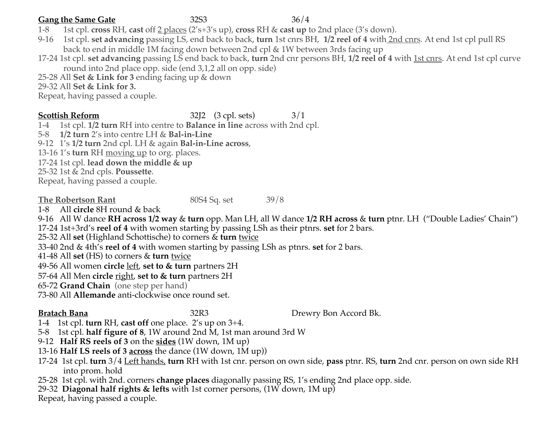### **Gang the Same Gate** 32S3 36/4

- 1-8 1st cpl. **cross** RH, **cast** off 2 places (2's+3's up), **cross** RH & **cast up** to 2nd place (3's down).
- 9-16 1st cpl. **set advancing** passing LS, end back to back, **turn** 1st cnrs BH, **1/2 reel of 4** with 2nd cnrs. At end 1st cpl pull RS back to end in middle 1M facing down between 2nd cpl & 1W between 3rds facing up
- 17-24 1st cpl. **set advancing** passing LS end back to back, **turn** 2nd cnr persons BH, **1/2 reel of 4** with 1st cnrs. At end 1st cpl curve round into 2nd place opp. side (end 3,1,2 all on opp. side)
- 25-28 All **Set & Link for 3** ending facing up & down

29-32 All **Set & Link for 3.**

Repeat, having passed a couple.

### **Scottish Reform** 32J2 (3 cpl. sets) 3/1

1-41st cpl. **1/2 turn** RH into centre to **Balance in line** across with 2nd cpl.

5-8 **1/2 turn** 2's into centre LH & **Bal-in-Line**

9-121's **1/2 turn** 2nd cpl. LH & again **Bal-in-Line across**,

13-16 1's **turn** RH moving up to org. places.

17-24 1st cpl. **lead down the middle & up**

25-32 1st & 2nd cpls. **Poussette**.

Repeat, having passed a couple.

**The Robertson Rant** 80S4 Sq. set 39/8

1-8 All **circle** 8H round & back

9-16 All W dance **RH across 1/2 way** & **turn** opp. Man LH, all W dance **1/2 RH across** & **turn** ptnr. LH ("Double Ladies' Chain") 17-24 1st+3rd's **reel of 4** with women starting by passing LSh as their ptnrs. **set** for 2 bars.

25-32 All **set** (Highland Schottische) to corners & **turn** twice

33-40 2nd & 4th's **reel of 4** with women starting by passing LSh as ptnrs. **set** for 2 bars.

41-48 All **set** (HS) to corners & **turn** twice

49-56 All women **circle** left, **set to & turn** partners 2H

57-64 All Men **circle** right, **set to & turn** partners 2H

65-72 **Grand Chain** (one step per hand)

73-80 All **Allemande** anti-clockwise once round set.

**Bratach Bana 32R3** Drewry Bon Accord Bk.

1-4 1st cpl. **turn** RH, **cast off** one place. 2's up on 3+4.

5-8 1st cpl. **half figure of 8**, 1W around 2nd M, 1st man around 3rd W

9-12 **Half RS reels of 3** on the **sides** (1W down, 1M up)

13-16 **Half LS reels of 3 across** the dance (1W down, 1M up))

17-24 1st cpl. **turn** 3/4 Left hands, **turn** RH with 1st cnr. person on own side, **pass** ptnr. RS, **turn** 2nd cnr. person on own side RH into prom. hold

25-28 1st cpl. with 2nd. corners **change places** diagonally passing RS, 1's ending 2nd place opp. side.

29-32 **Diagonal half rights & lefts** with 1st corner persons, (1W down, 1M up)

Repeat, having passed a couple.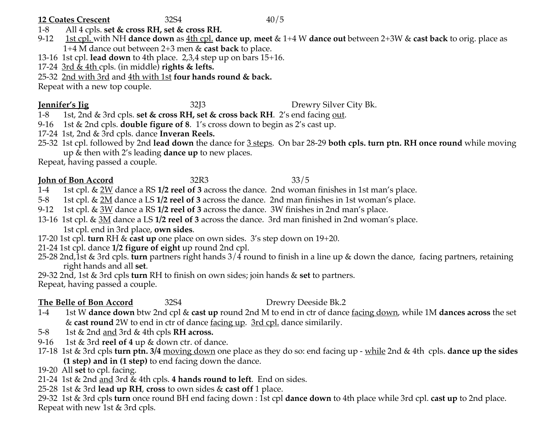### **12 Coates Crescent** 32S4 40/5

- 1-8 All 4 cpls. **set & cross RH, set & cross RH.**
- 9-12 1st cpl. with NH **dance down** as 4th cpl. **dance up**, **meet** & 1+4 W **dance out** between 2+3W & **cast back** to orig. place as 1+4 M dance out between 2+3 men & **cast back** to place.
- 13-16 1st cpl. **lead down** to 4th place. 2,3,4 step up on bars 15+16.

17-24 3rd & 4th cpls. (in middle) **rights & lefts.**

25-32 2nd with 3rd and 4th with 1st **four hands round & back.**

Repeat with a new top couple.

**<u>Iennifer's Jig</u>** 32J3 Drewry Silver City Bk.

1-8 1st, 2nd & 3rd cpls. **set & cross RH, set & cross back RH**. 2's end facing out.

9-16 1st & 2nd cpls. **double figure of 8**. 1's cross down to begin as 2's cast up.

- 17-24 1st, 2nd & 3rd cpls. dance **Inveran Reels.**
- 25-32 1st cpl. followed by 2nd **lead down** the dance for 3 steps. On bar 28-29 **both cpls. turn ptn. RH once round** while moving up & then with 2's leading **dance up** to new places.

Repeat, having passed a couple.

# **John of Bon Accord** 32R3 33/5

- 1-4 1st cpl. & 2W dance a RS **1/2 reel of 3** across the dance. 2nd woman finishes in 1st man's place.
- 5-8 1st cpl. & 2M dance a LS **1/2 reel of 3** across the dance. 2nd man finishes in 1st woman's place.
- 9-12 1st cpl. & 3W dance a RS **1/2 reel of 3** across the dance. 3W finishes in 2nd man's place.
- 13-16 1st cpl. & 3M dance a LS **1/2 reel of 3** across the dance. 3rd man finished in 2nd woman's place. 1st cpl. end in 3rd place, **own sides**.
- 17-20 1st cpl. **turn** RH & **cast up** one place on own sides. 3's step down on 19+20.
- 21-24 1st cpl. dance **1/2 figure of eight** up round 2nd cpl.
- 25-28 2nd,1st & 3rd cpls. **turn** partners right hands 3/4 round to finish in a line up & down the dance, facing partners, retaining right hands and all **set**.
- 29-32 2nd, 1st & 3rd cpls **turn** RH to finish on own sides; join hands & **set** to partners.

Repeat, having passed a couple.

# **The Belle of Bon Accord** 32S4 **Drewry Deeside Bk.2**

- 1-4 1st W **dance down** btw 2nd cpl & **cast up** round 2nd M to end in ctr of dance facing down, while 1M **dances across** the set & **cast round** 2W to end in ctr of dance facing up. 3rd cpl. dance similarily.
- 5-8 1st & 2nd and 3rd & 4th cpls **RH across.**
- 9-16 1st & 3rd **reel of 4** up & down ctr. of dance.
- 17-18 1st & 3rd cpls **turn ptn. 3/4** moving down one place as they do so: end facing up while 2nd & 4th cpls. **dance up the sides (1 step) and in (1 step)** to end facing down the dance.
- 19-20 All **set** to cpl. facing.
- 21-24 1st & 2nd and 3rd & 4th cpls. **4 hands round to left**. End on sides.
- 25-28 1st & 3rd **lead up RH**, **cross** to own sides & **cast off** 1 place.
- 29-32 1st & 3rd cpls **turn** once round BH end facing down : 1st cpl **dance down** to 4th place while 3rd cpl. **cast up** to 2nd place. Repeat with new 1st & 3rd cpls.